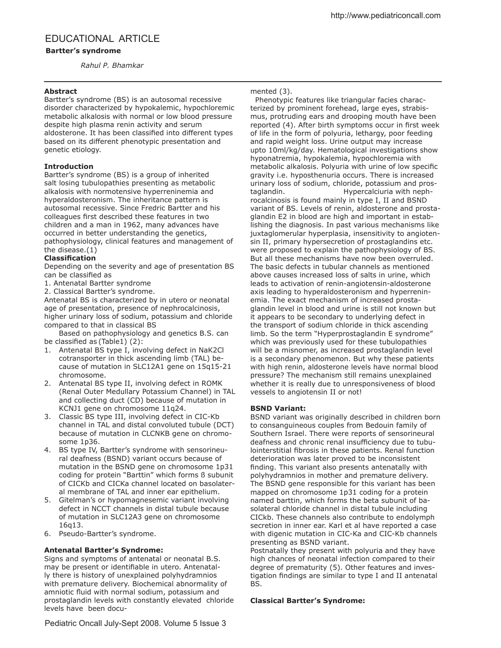# EDUCATIONAL ARTICLE

# **Bartter's syndrome**

*Rahul P. Bhamkar*

# **Abstract**

Bartter's syndrome (BS) is an autosomal recessive disorder characterized by hypokalemic, hypochloremic metabolic alkalosis with normal or low blood pressure despite high plasma renin activity and serum aldosterone. It has been classified into different types based on its diferent phenotypic presentation and genetic etiology.

# **Introduction**

Bartter's syndrome (BS) is a group of inherited salt losing tubulopathies presenting as metabolic alkalosis with normotensive hyperreninemia and hyperaldosteronism. The inheritance pattern is autosomal recessive. Since Fredric Bartter and his colleagues first described these features in two children and a man in 1962, many advances have occurred in better understanding the genetics, pathophysiology, clinical features and management of the disease.(1)

# **Classification**

Depending on the severity and age of presentation BS can be classified as

- 1. Antenatal Bartter syndrome
- 2. Classical Bartter's syndrome.

Antenatal BS is characterized by in utero or neonatal age of presentation, presence of nephrocalcinosis, higher urinary loss of sodium, potassium and chloride compared to that in classical BS

Based on pathophysiology and genetics B.S. can be classified as (Table1) (2):

- 1. Antenatal BS type I, involving defect in NaK2Cl cotransporter in thick ascending limb (TAL) because of mutation in SLC12A1 gene on 15q15-21 chromosome.
- 2. Antenatal BS type II, involving defect in ROMK (Renal Outer Medullary Potassium Channel) in TAL and collecting duct (CD) because of mutation in KCNJ1 gene on chromosome 11q24.
- 3. Classic BS type III, involving defect in CIC-Kb channel in TAL and distal convoluted tubule (DCT) because of mutation in CLCNKB gene on chromosome 1p36.
- 4. BS type IV, Bartter's syndrome with sensorineural deafness (BSND) variant occurs because of mutation in the BSND gene on chromosome 1p31 coding for protein "Barttin" which forms ß subunit of CICKb and CICKa channel located on basolateral membrane of TAL and inner ear epithelium.
- 5. Gitelman's or hypomagnesemic variant involving defect in NCCT channels in distal tubule because of mutation in SLC12A3 gene on chromosome 16q13.
- 6. Pseudo-Bartter's syndrome.

## **Antenatal Bartter's Syndrome:**

Signs and symptoms of antenatal or neonatal B.S. may be present or identifiable in utero. Antenatally there is history of unexplained polyhydramnios with premature delivery. Biochemical abnormality of amniotic fluid with normal sodium, potassium and prostaglandin levels with constantly elevated chloride levels have been documented (3).

 Phenotypic features like triangular facies characterized by prominent forehead, large eyes, strabismus, protruding ears and drooping mouth have been reported (4). After birth symptoms occur in first week of life in the form of polyuria, lethargy, poor feeding and rapid weight loss. Urine output may increase upto 10ml/kg/day. Hematological investigations show hyponatremia, hypokalemia, hypochloremia with metabolic alkalosis. Polyuria with urine of low specific gravity i.e. hyposthenuria occurs. There is increased urinary loss of sodium, chloride, potassium and prostaglandin. Hypercalciuria with nephrocalcinosis is found mainly in type I, II and BSND variant of BS. Levels of renin, aldosterone and prostaglandin E2 in blood are high and important in establishing the diagnosis. In past various mechanisms like juxtaglomerular hyperplasia, insensitivity to angiotensin II, primary hypersecretion of prostaglandins etc. were proposed to explain the pathophysiology of BS. But all these mechanisms have now been overruled. The basic defects in tubular channels as mentioned above causes increased loss of salts in urine, which leads to activation of renin-angiotensin-aldosterone axis leading to hyperaldosteronism and hyperreninemia. The exact mechanism of increased prostaglandin level in blood and urine is still not known but it appears to be secondary to underlying defect in the transport of sodium chloride in thick ascending limb. So the term "Hyperprostaglandin E syndrome" which was previously used for these tubulopathies will be a misnomer, as increased prostaglandin level is a secondary phenomenon. But why these patients with high renin, aldosterone levels have normal blood pressure? The mechanism still remains unexplained whether it is really due to unresponsiveness of blood vessels to angiotensin II or not!

## **BSND Variant:**

BSND variant was originally described in children born to consanguineous couples from Bedouin family of Southern Israel. There were reports of sensorineural deafness and chronic renal insufficiency due to tubulointerstitial fibrosis in these patients. Renal function deterioration was later proved to be inconsistent finding. This variant also presents antenatally with polyhydramnios in mother and premature delivery. The BSND gene responsible for this variant has been mapped on chromosome 1p31 coding for a protein named barttin, which forms the beta subunit of basolateral chloride channel in distal tubule including CICkb. These channels also contribute to endolymph secretion in inner ear. Karl et al have reported a case with digenic mutation in CIC-Ka and CIC-Kb channels presenting as BSND variant.

Postnatally they present with polyuria and they have high chances of neonatal infection compared to their degree of prematurity (5). Other features and investigation findings are similar to type I and II antenatal BS.

## **Classical Bartter's Syndrome:**

Pediatric Oncall July-Sept 2008. Volume 5 Issue 3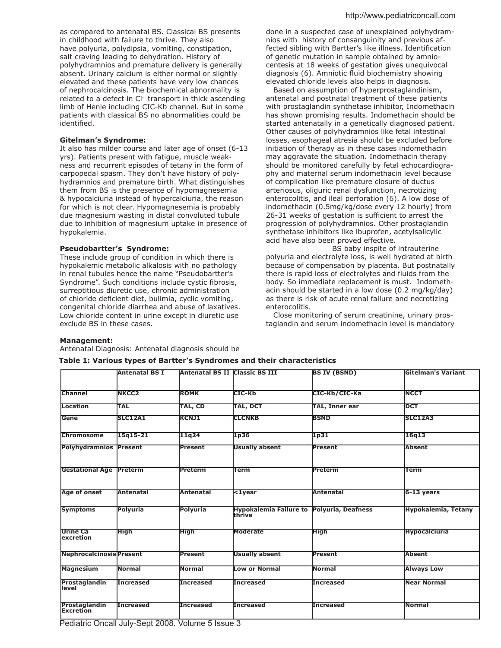as compared to antenatal BS. Classical BS presents in childhood with failure to thrive. They also have polyuria, polydipsia, vomiting, constipation, salt craving leading to dehydration. History of polyhydramnios and premature delivery is generally absent. Urinary calcium is either normal or slightly elevated and these patients have very low chances of nephrocalcinosis. The biochemical abnormality is related to a defect in Cl<sup>-</sup> transport in thick ascending limb of Henle including CIC-Kb channel. But in some patients with classical BS no abnormalities could be identified.

### **Gitelman's Syndrome:**

It also has milder course and later age of onset (6-13 yrs). Patients present with fatigue, muscle weakness and recurrent episodes of tetany in the form of carpopedal spasm. They don't have history of polyhydramnios and premature birth. What distinguishes them from BS is the presence of hypomagnesemia & hypocalciuria instead of hypercalciuria, the reason for which is not clear. Hypomagnesemia is probably due magnesium wasting in distal convoluted tubule due to inhibition of magnesium uptake in presence of hypokalemia.

#### **Pseudobartter's Syndrome:**

These include group of condition in which there is hypokalemic metabolic alkalosis with no pathology in renal tubules hence the name "Pseudobartter's Syndrome". Such conditions include cystic fibrosis, surreptitious diuretic use, chronic administration of chloride deficient diet, bulimia, cyclic vomiting, congenital chloride diarrhea and abuse of laxatives. Low chloride content in urine except in diuretic use exclude BS in these cases.

done in a suspected case of unexplained polyhydramnios with history of consanguinity and previous affected sibling with Bartter's like illness. Identification of genetic mutation in sample obtained by amniocentesis at 18 weeks of gestation gives unequivocal diagnosis (6). Amniotic fluid biochemistry showing elevated chloride levels also helps in diagnosis.

 Based on assumption of hyperprostaglandinism, antenatal and postnatal treatment of these patients with prostaglandin synthetase inhibitor, Indomethacin has shown promising results. Indomethacin should be started antenatally in a genetically diagnosed patient. Other causes of polyhydramnios like fetal intestinal losses, esophageal atresia should be excluded before initiation of therapy as in these cases indomethacin may aggravate the situation. Indomethacin therapy should be monitored carefully by fetal echocardiography and maternal serum indomethacin level because of complication like premature closure of ductus arteriosus, oliguric renal dysfunction, necrotizing enterocolitis, and ileal perforation (6). A low dose of indomethacin (0.5mg/kg/dose every 12 hourly) from 26-31 weeks of gestation is sufficient to arrest the progression of polyhydramnios. Other prostaglandin synthetase inhibitors like ibuprofen, acetylsalicylic acid have also been proved efective.

 BS baby inspite of intrauterine polyuria and electrolyte loss, is well hydrated at birth because of compensation by placenta. But postnatally there is rapid loss of electrolytes and fluids from the body. So immediate replacement is must. Indomethacin should be started in a low dose (0.2 mg/kg/day) as there is risk of acute renal failure and necrotizing enterocolitis.

 Close monitoring of serum creatinine, urinary prostaglandin and serum indomethacin level is mandatory

#### **Management:**

Antenatal Diagnosis: Antenatal diagnosis should be

| Table 1: Various types of Bartter's Syndromes and their characteristics |  |  |
|-------------------------------------------------------------------------|--|--|
|-------------------------------------------------------------------------|--|--|

|                                      | Antenatal BS I   | <b>Antenatal BS II Classic BS III</b> |                                                             | <b>BS IV (BSND)</b>   | <b>Gitelman's Variant</b>  |
|--------------------------------------|------------------|---------------------------------------|-------------------------------------------------------------|-----------------------|----------------------------|
|                                      |                  |                                       |                                                             |                       |                            |
| <b>Channel</b>                       | <b>NKCC2</b>     | <b>ROMK</b>                           | істс-кь                                                     | СІС-КЬ/СІС-Ка         | <b>INCCT</b>               |
| <b>Location</b>                      | <b>TAL</b>       | <b>TAL, CD</b>                        | TAL, DCT                                                    | <b>TAL, Inner ear</b> | <b>IDCT</b>                |
| Gene                                 | <b>SLC12A1</b>   | <b>KCNJ1</b>                          | <b>CLCNKB</b>                                               | <b>BSND</b>           | <b>SLC12A3</b>             |
| <b>Chromosome</b>                    | 15q15-21         | 11q24                                 | 1 <sub>p36</sub>                                            | 1p31                  | 16q13                      |
| <b>Polyhydramnios Present</b>        |                  | <b>Present</b>                        | <b>Usually absent</b>                                       | Present               | <b>Absent</b>              |
| <b>Gestational Age Preterm</b>       |                  | Preterm                               | Term                                                        | Preterm               | <b>Term</b>                |
| Age of onset                         | Antenatal        | <b>Antenatal</b>                      | $\overline{$ 1year                                          | Antenatal             | $6-13$ years               |
| <b>Symptoms</b>                      | <b>Polyuria</b>  | <b>Polyuria</b>                       | <b>Hypokalemia Failure to Polyuria, Deafness</b><br>lthrive |                       | <b>Hypokalemia, Tetany</b> |
| <b>Urine Ca</b><br><b>lexcretion</b> | High             | High                                  | <b>Moderate</b>                                             | High                  | <b>Hypocalciuria</b>       |
| <b>Nephrocalcinosis Present</b>      |                  | Present                               | <b>Usually absent</b>                                       | Present               | Absent                     |
| <b>Magnesium</b>                     | Normal           | <b>Normal</b>                         | Low or Normal                                               | <b>Normal</b>         | <b>Always Low</b>          |
| Prostaglandin<br>level               | <b>Increased</b> | <b>Increased</b>                      | <b>Increased</b>                                            | <b>Increased</b>      | Near Normal                |
| Prostaglandin<br>Excretion           | <b>Increased</b> | <b>Increased</b>                      | <b>Increased</b>                                            | <b>Increased</b>      | <b>Normal</b>              |

Pediatric Oncall July-Sept 2008. Volume 5 Issue 3